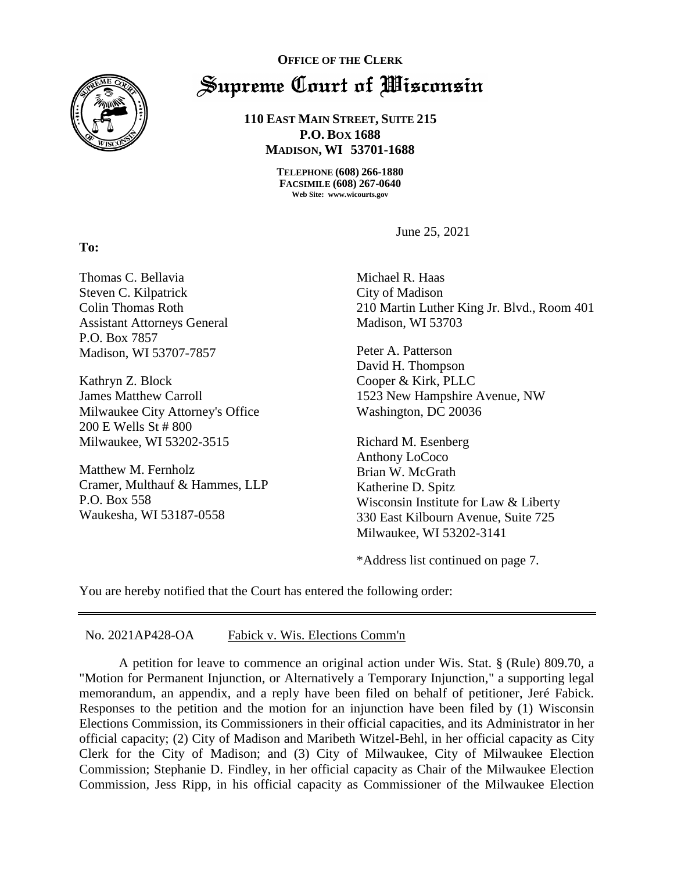

**To:** 

## **OFFICE OF THE CLERK** Supreme Court of Wisconsin

**110 EAST MAIN STREET, SUITE 215 P.O. BOX 1688 MADISON, WI 53701-1688**

> **TELEPHONE (608) 266-1880 FACSIMILE (608) 267-0640 Web Site: www.wicourts.gov**

> > June 25, 2021

Thomas C. Bellavia Steven C. Kilpatrick Colin Thomas Roth Assistant Attorneys General P.O. Box 7857 Madison, WI 53707-7857

Kathryn Z. Block James Matthew Carroll Milwaukee City Attorney's Office 200 E Wells St # 800 Milwaukee, WI 53202-3515

Matthew M. Fernholz Cramer, Multhauf & Hammes, LLP P.O. Box 558 Waukesha, WI 53187-0558

Michael R. Haas City of Madison 210 Martin Luther King Jr. Blvd., Room 401 Madison, WI 53703

Peter A. Patterson David H. Thompson Cooper & Kirk, PLLC 1523 New Hampshire Avenue, NW Washington, DC 20036

Richard M. Esenberg Anthony LoCoco Brian W. McGrath Katherine D. Spitz Wisconsin Institute for Law & Liberty 330 East Kilbourn Avenue, Suite 725 Milwaukee, WI 53202-3141

\*Address list continued on page 7.

You are hereby notified that the Court has entered the following order:

## No. 2021AP428-OA Fabick v. Wis. Elections Comm'n

A petition for leave to commence an original action under Wis. Stat. § (Rule) 809.70, a "Motion for Permanent Injunction, or Alternatively a Temporary Injunction," a supporting legal memorandum, an appendix, and a reply have been filed on behalf of petitioner, Jeré Fabick. Responses to the petition and the motion for an injunction have been filed by (1) Wisconsin Elections Commission, its Commissioners in their official capacities, and its Administrator in her official capacity; (2) City of Madison and Maribeth Witzel-Behl, in her official capacity as City Clerk for the City of Madison; and (3) City of Milwaukee, City of Milwaukee Election Commission; Stephanie D. Findley, in her official capacity as Chair of the Milwaukee Election Commission, Jess Ripp, in his official capacity as Commissioner of the Milwaukee Election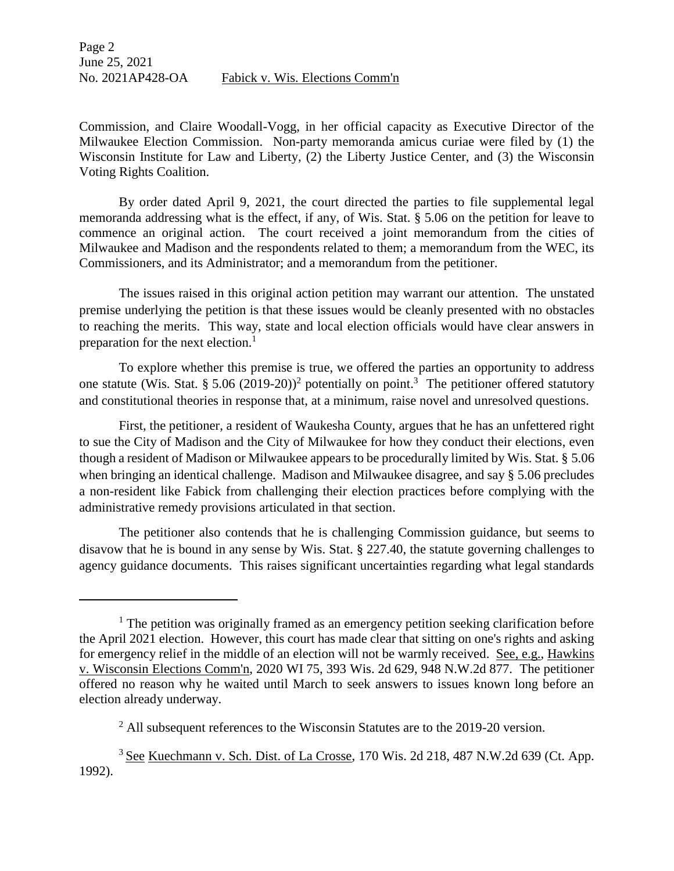Commission, and Claire Woodall-Vogg, in her official capacity as Executive Director of the Milwaukee Election Commission. Non-party memoranda amicus curiae were filed by (1) the Wisconsin Institute for Law and Liberty, (2) the Liberty Justice Center, and (3) the Wisconsin Voting Rights Coalition.

By order dated April 9, 2021, the court directed the parties to file supplemental legal memoranda addressing what is the effect, if any, of Wis. Stat. § 5.06 on the petition for leave to commence an original action. The court received a joint memorandum from the cities of Milwaukee and Madison and the respondents related to them; a memorandum from the WEC, its Commissioners, and its Administrator; and a memorandum from the petitioner.

The issues raised in this original action petition may warrant our attention. The unstated premise underlying the petition is that these issues would be cleanly presented with no obstacles to reaching the merits. This way, state and local election officials would have clear answers in preparation for the next election.<sup>1</sup>

To explore whether this premise is true, we offered the parties an opportunity to address one statute (Wis. Stat. § 5.06 (2019-20))<sup>2</sup> potentially on point.<sup>3</sup> The petitioner offered statutory and constitutional theories in response that, at a minimum, raise novel and unresolved questions.

First, the petitioner, a resident of Waukesha County, argues that he has an unfettered right to sue the City of Madison and the City of Milwaukee for how they conduct their elections, even though a resident of Madison or Milwaukee appears to be procedurally limited by Wis. Stat. § 5.06 when bringing an identical challenge. Madison and Milwaukee disagree, and say § 5.06 precludes a non-resident like Fabick from challenging their election practices before complying with the administrative remedy provisions articulated in that section.

The petitioner also contends that he is challenging Commission guidance, but seems to disavow that he is bound in any sense by Wis. Stat. § 227.40, the statute governing challenges to agency guidance documents. This raises significant uncertainties regarding what legal standards

 $\overline{a}$ 

 $<sup>1</sup>$  The petition was originally framed as an emergency petition seeking clarification before</sup> the April 2021 election. However, this court has made clear that sitting on one's rights and asking for emergency relief in the middle of an election will not be warmly received. See, e.g., Hawkins v. Wisconsin Elections Comm'n, 2020 WI 75, 393 Wis. 2d 629, 948 N.W.2d 877. The petitioner offered no reason why he waited until March to seek answers to issues known long before an election already underway.

 $2$  All subsequent references to the Wisconsin Statutes are to the 2019-20 version.

<sup>3</sup> See Kuechmann v. Sch. Dist. of La Crosse, 170 Wis. 2d 218, 487 N.W.2d 639 (Ct. App. 1992).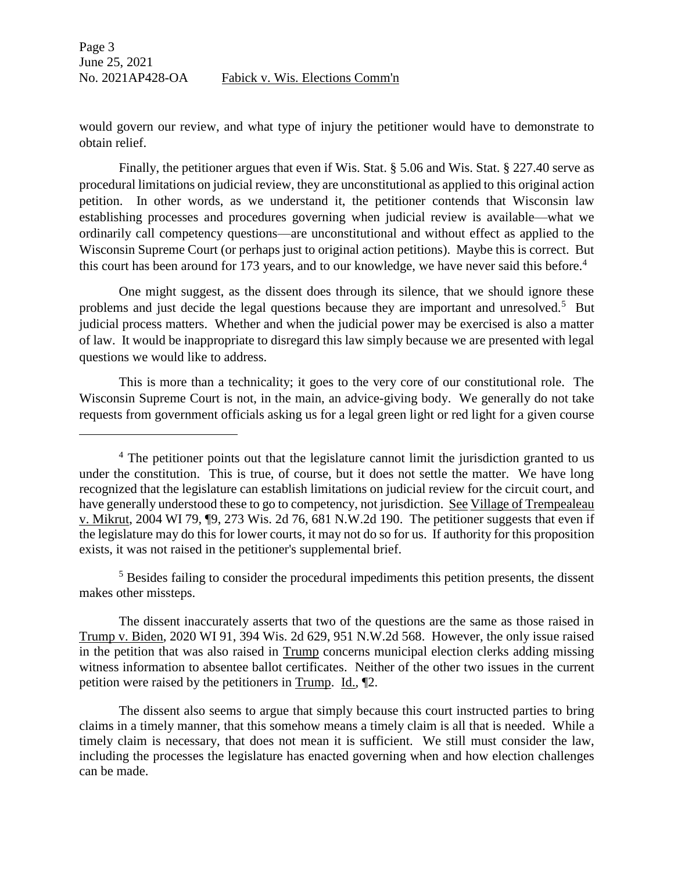$\overline{\phantom{a}}$ 

would govern our review, and what type of injury the petitioner would have to demonstrate to obtain relief.

Finally, the petitioner argues that even if Wis. Stat. § 5.06 and Wis. Stat. § 227.40 serve as procedural limitations on judicial review, they are unconstitutional as applied to this original action petition. In other words, as we understand it, the petitioner contends that Wisconsin law establishing processes and procedures governing when judicial review is available—what we ordinarily call competency questions—are unconstitutional and without effect as applied to the Wisconsin Supreme Court (or perhaps just to original action petitions). Maybe this is correct. But this court has been around for 173 years, and to our knowledge, we have never said this before.<sup>4</sup>

One might suggest, as the dissent does through its silence, that we should ignore these problems and just decide the legal questions because they are important and unresolved.<sup>5</sup> But judicial process matters. Whether and when the judicial power may be exercised is also a matter of law. It would be inappropriate to disregard this law simply because we are presented with legal questions we would like to address.

This is more than a technicality; it goes to the very core of our constitutional role. The Wisconsin Supreme Court is not, in the main, an advice-giving body. We generally do not take requests from government officials asking us for a legal green light or red light for a given course

<sup>5</sup> Besides failing to consider the procedural impediments this petition presents, the dissent makes other missteps.

The dissent inaccurately asserts that two of the questions are the same as those raised in Trump v. Biden, 2020 WI 91, 394 Wis. 2d 629, 951 N.W.2d 568. However, the only issue raised in the petition that was also raised in Trump concerns municipal election clerks adding missing witness information to absentee ballot certificates. Neither of the other two issues in the current petition were raised by the petitioners in Trump. Id., ¶2.

The dissent also seems to argue that simply because this court instructed parties to bring claims in a timely manner, that this somehow means a timely claim is all that is needed. While a timely claim is necessary, that does not mean it is sufficient. We still must consider the law, including the processes the legislature has enacted governing when and how election challenges can be made.

<sup>&</sup>lt;sup>4</sup> The petitioner points out that the legislature cannot limit the jurisdiction granted to us under the constitution. This is true, of course, but it does not settle the matter. We have long recognized that the legislature can establish limitations on judicial review for the circuit court, and have generally understood these to go to competency, not jurisdiction. See Village of Trempealeau v. Mikrut, 2004 WI 79, ¶9, 273 Wis. 2d 76, 681 N.W.2d 190. The petitioner suggests that even if the legislature may do this for lower courts, it may not do so for us. If authority for this proposition exists, it was not raised in the petitioner's supplemental brief.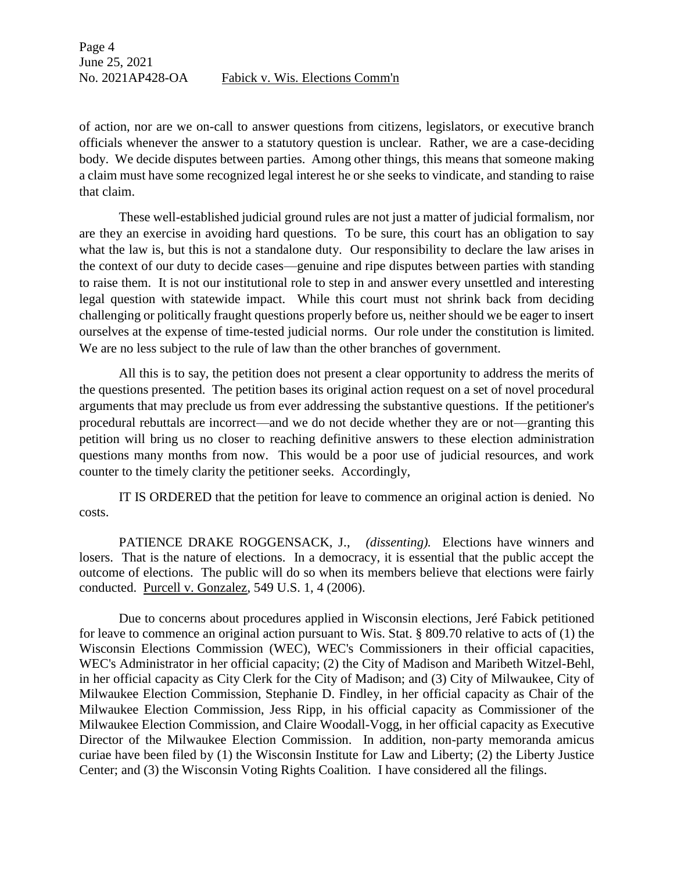of action, nor are we on-call to answer questions from citizens, legislators, or executive branch officials whenever the answer to a statutory question is unclear. Rather, we are a case-deciding body. We decide disputes between parties. Among other things, this means that someone making a claim must have some recognized legal interest he or she seeks to vindicate, and standing to raise that claim.

These well-established judicial ground rules are not just a matter of judicial formalism, nor are they an exercise in avoiding hard questions. To be sure, this court has an obligation to say what the law is, but this is not a standalone duty. Our responsibility to declare the law arises in the context of our duty to decide cases—genuine and ripe disputes between parties with standing to raise them. It is not our institutional role to step in and answer every unsettled and interesting legal question with statewide impact. While this court must not shrink back from deciding challenging or politically fraught questions properly before us, neither should we be eager to insert ourselves at the expense of time-tested judicial norms. Our role under the constitution is limited. We are no less subject to the rule of law than the other branches of government.

All this is to say, the petition does not present a clear opportunity to address the merits of the questions presented. The petition bases its original action request on a set of novel procedural arguments that may preclude us from ever addressing the substantive questions. If the petitioner's procedural rebuttals are incorrect—and we do not decide whether they are or not—granting this petition will bring us no closer to reaching definitive answers to these election administration questions many months from now. This would be a poor use of judicial resources, and work counter to the timely clarity the petitioner seeks. Accordingly,

IT IS ORDERED that the petition for leave to commence an original action is denied. No costs.

PATIENCE DRAKE ROGGENSACK, J., *(dissenting).* Elections have winners and losers. That is the nature of elections. In a democracy, it is essential that the public accept the outcome of elections. The public will do so when its members believe that elections were fairly conducted. Purcell v. Gonzalez, 549 U.S. 1, 4 (2006).

Due to concerns about procedures applied in Wisconsin elections, Jeré Fabick petitioned for leave to commence an original action pursuant to Wis. Stat. § 809.70 relative to acts of (1) the Wisconsin Elections Commission (WEC), WEC's Commissioners in their official capacities, WEC's Administrator in her official capacity; (2) the City of Madison and Maribeth Witzel-Behl, in her official capacity as City Clerk for the City of Madison; and (3) City of Milwaukee, City of Milwaukee Election Commission, Stephanie D. Findley, in her official capacity as Chair of the Milwaukee Election Commission, Jess Ripp, in his official capacity as Commissioner of the Milwaukee Election Commission, and Claire Woodall-Vogg, in her official capacity as Executive Director of the Milwaukee Election Commission. In addition, non-party memoranda amicus curiae have been filed by (1) the Wisconsin Institute for Law and Liberty; (2) the Liberty Justice Center; and (3) the Wisconsin Voting Rights Coalition. I have considered all the filings.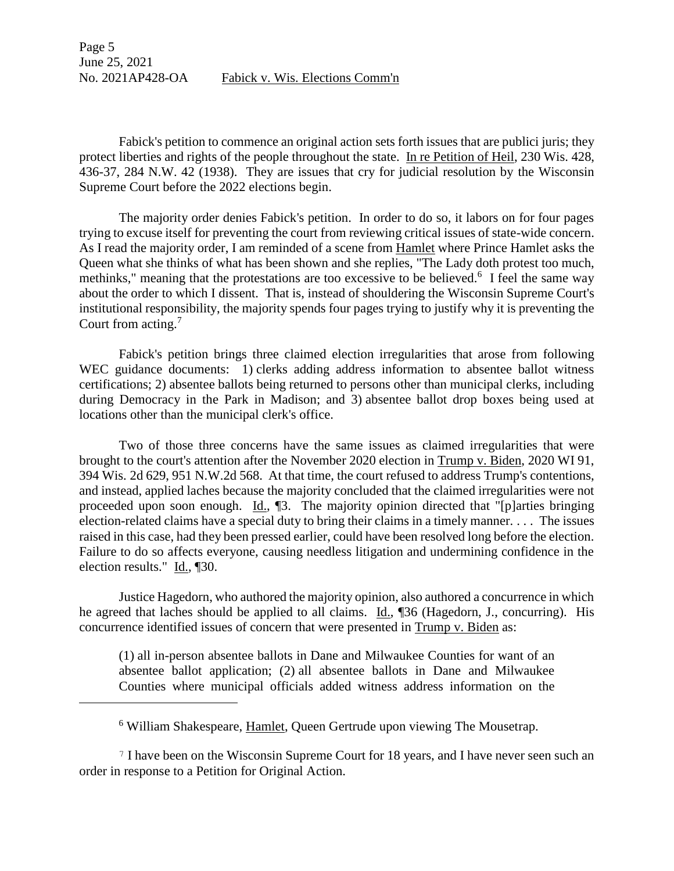Page 5 June 25, 2021 No. 2021AP428-OA Fabick v. Wis. Elections Comm'n

Fabick's petition to commence an original action sets forth issues that are publici juris; they protect liberties and rights of the people throughout the state. In re Petition of Heil, 230 Wis. 428, 436-37, 284 N.W. 42 (1938). They are issues that cry for judicial resolution by the Wisconsin Supreme Court before the 2022 elections begin.

The majority order denies Fabick's petition. In order to do so, it labors on for four pages trying to excuse itself for preventing the court from reviewing critical issues of state-wide concern. As I read the majority order, I am reminded of a scene from Hamlet where Prince Hamlet asks the Queen what she thinks of what has been shown and she replies, "The Lady doth protest too much, methinks," meaning that the protestations are too excessive to be believed.<sup>6</sup> I feel the same way about the order to which I dissent. That is, instead of shouldering the Wisconsin Supreme Court's institutional responsibility, the majority spends four pages trying to justify why it is preventing the Court from acting.<sup>7</sup>

Fabick's petition brings three claimed election irregularities that arose from following WEC guidance documents: 1) clerks adding address information to absentee ballot witness certifications; 2) absentee ballots being returned to persons other than municipal clerks, including during Democracy in the Park in Madison; and 3) absentee ballot drop boxes being used at locations other than the municipal clerk's office.

Two of those three concerns have the same issues as claimed irregularities that were brought to the court's attention after the November 2020 election in Trump v. Biden, 2020 WI 91, 394 Wis. 2d 629, 951 N.W.2d 568. At that time, the court refused to address Trump's contentions, and instead, applied laches because the majority concluded that the claimed irregularities were not proceeded upon soon enough. Id., [3.] The majority opinion directed that "[p]arties bringing election-related claims have a special duty to bring their claims in a timely manner. . . . The issues raised in this case, had they been pressed earlier, could have been resolved long before the election. Failure to do so affects everyone, causing needless litigation and undermining confidence in the election results." Id., ¶30.

Justice Hagedorn, who authored the majority opinion, also authored a concurrence in which he agreed that laches should be applied to all claims. Id., ¶36 (Hagedorn, J., concurring). His concurrence identified issues of concern that were presented in Trump v. Biden as:

(1) all in-person absentee ballots in Dane and Milwaukee Counties for want of an absentee ballot application; (2) all absentee ballots in Dane and Milwaukee Counties where municipal officials added witness address information on the

 $\overline{a}$ 

<sup>7</sup> I have been on the Wisconsin Supreme Court for 18 years, and I have never seen such an order in response to a Petition for Original Action.

<sup>6</sup> William Shakespeare, Hamlet, Queen Gertrude upon viewing The Mousetrap.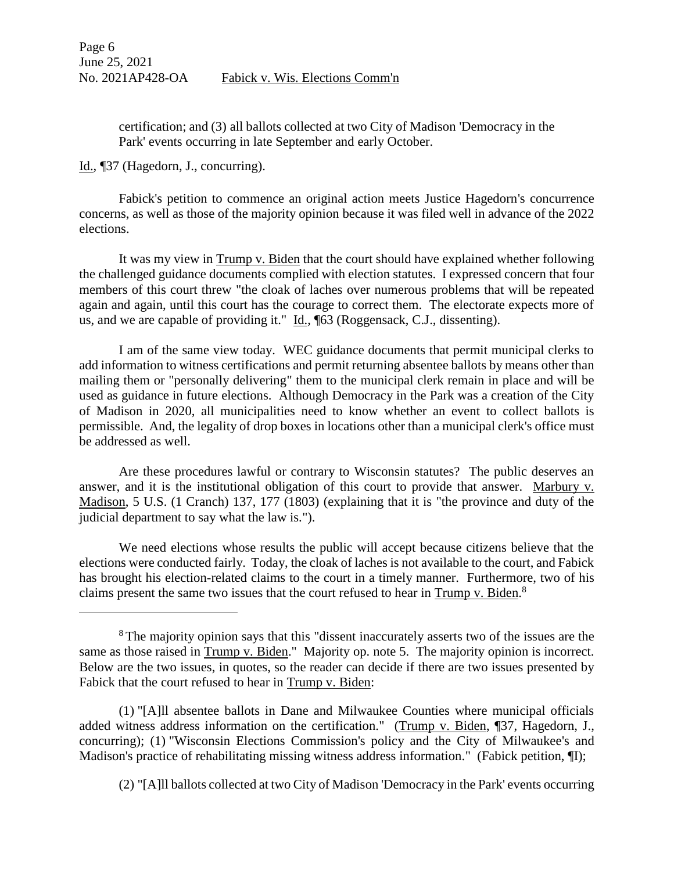certification; and (3) all ballots collected at two City of Madison 'Democracy in the Park' events occurring in late September and early October.

Id., ¶37 (Hagedorn, J., concurring).

 $\overline{a}$ 

Fabick's petition to commence an original action meets Justice Hagedorn's concurrence concerns, as well as those of the majority opinion because it was filed well in advance of the 2022 elections.

It was my view in Trump v. Biden that the court should have explained whether following the challenged guidance documents complied with election statutes. I expressed concern that four members of this court threw "the cloak of laches over numerous problems that will be repeated again and again, until this court has the courage to correct them. The electorate expects more of us, and we are capable of providing it." Id., [63 (Roggensack, C.J., dissenting).

I am of the same view today. WEC guidance documents that permit municipal clerks to add information to witness certifications and permit returning absentee ballots by means other than mailing them or "personally delivering" them to the municipal clerk remain in place and will be used as guidance in future elections. Although Democracy in the Park was a creation of the City of Madison in 2020, all municipalities need to know whether an event to collect ballots is permissible. And, the legality of drop boxes in locations other than a municipal clerk's office must be addressed as well.

Are these procedures lawful or contrary to Wisconsin statutes? The public deserves an answer, and it is the institutional obligation of this court to provide that answer. Marbury v. Madison, 5 U.S. (1 Cranch) 137, 177 (1803) (explaining that it is "the province and duty of the judicial department to say what the law is.").

We need elections whose results the public will accept because citizens believe that the elections were conducted fairly. Today, the cloak of laches is not available to the court, and Fabick has brought his election-related claims to the court in a timely manner. Furthermore, two of his claims present the same two issues that the court refused to hear in Trump v. Biden.<sup>8</sup>

(1) "[A]ll absentee ballots in Dane and Milwaukee Counties where municipal officials added witness address information on the certification." (Trump v. Biden, ¶37, Hagedorn, J., concurring); (1) "Wisconsin Elections Commission's policy and the City of Milwaukee's and Madison's practice of rehabilitating missing witness address information." (Fabick petition,  $\P$ I);

(2) "[A]ll ballots collected at two City of Madison 'Democracy in the Park' events occurring

<sup>&</sup>lt;sup>8</sup> The majority opinion says that this "dissent inaccurately asserts two of the issues are the same as those raised in Trump v. Biden." Majority op. note 5. The majority opinion is incorrect. Below are the two issues, in quotes, so the reader can decide if there are two issues presented by Fabick that the court refused to hear in Trump v. Biden: